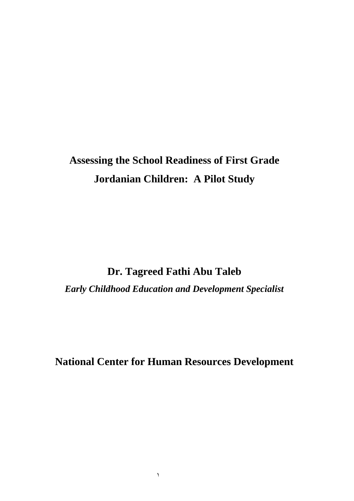# **Assessing the School Readiness of First Grade Jordanian Children: A Pilot Study**

**Dr. Tagreed Fathi Abu Taleb**

*Early Childhood Education and Development Specialist*

**National Center for Human Resources Development**

 $\lambda$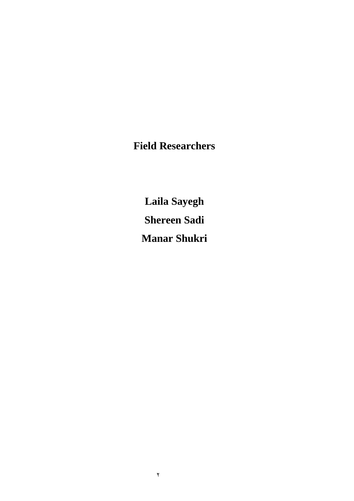**Field Researchers**

**Laila Sayegh Shereen Sadi Manar Shukri**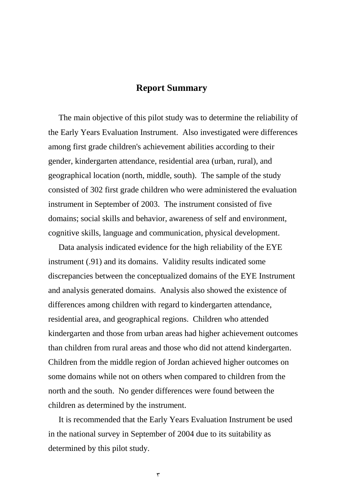### **Report Summary**

 The main objective of this pilot study was to determine the reliability of the Early Years Evaluation Instrument. Also investigated were differences among first grade children's achievement abilities according to their gender, kindergarten attendance, residential area (urban, rural), and geographical location (north, middle, south). The sample of the study consisted of 302 first grade children who were administered the evaluation instrument in September of 2003. The instrument consisted of five domains; social skills and behavior, awareness of self and environment, cognitive skills, language and communication, physical development.

 Data analysis indicated evidence for the high reliability of the EYE instrument (.91) and its domains. Validity results indicated some discrepancies between the conceptualized domains of the EYE Instrument and analysis generated domains. Analysis also showed the existence of differences among children with regard to kindergarten attendance, residential area, and geographical regions. Children who attended kindergarten and those from urban areas had higher achievement outcomes than children from rural areas and those who did not attend kindergarten. Children from the middle region of Jordan achieved higher outcomes on some domains while not on others when compared to children from the north and the south. No gender differences were found between the children as determined by the instrument.

 It is recommended that the Early Years Evaluation Instrument be used in the national survey in September of 2004 due to its suitability as determined by this pilot study.

 $\mathbf{r}$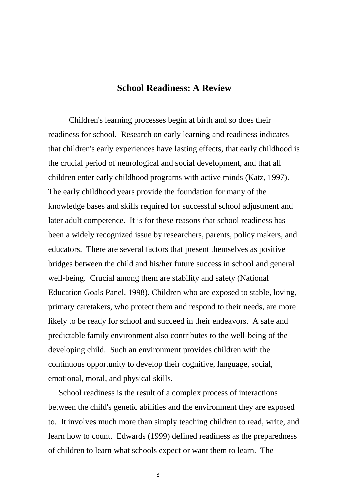## **School Readiness: A Review**

Children's learning processes begin at birth and so does their readiness for school. Research on early learning and readiness indicates that children's early experiences have lasting effects, that early childhood is the crucial period of neurological and social development, and that all children enter early childhood programs with active minds (Katz, 1997). The early childhood years provide the foundation for many of the knowledge bases and skills required for successful school adjustment and later adult competence. It is for these reasons that school readiness has been a widely recognized issue by researchers, parents, policy makers, and educators. There are several factors that present themselves as positive bridges between the child and his/her future success in school and general well-being. Crucial among them are stability and safety (National Education Goals Panel, 1998). Children who are exposed to stable, loving, primary caretakers, who protect them and respond to their needs, are more likely to be ready for school and succeed in their endeavors. A safe and predictable family environment also contributes to the well-being of the developing child. Such an environment provides children with the continuous opportunity to develop their cognitive, language, social, emotional, moral, and physical skills.

 School readiness is the result of a complex process of interactions between the child's genetic abilities and the environment they are exposed to. It involves much more than simply teaching children to read, write, and learn how to count. Edwards (1999) defined readiness as the preparedness of children to learn what schools expect or want them to learn. The

4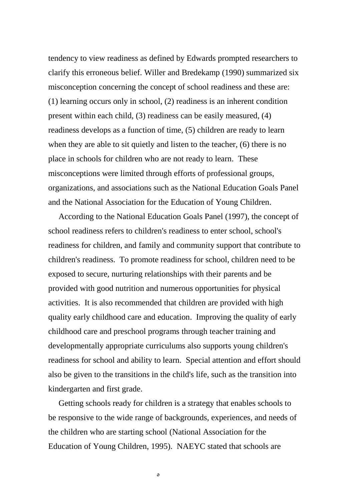tendency to view readiness as defined by Edwards prompted researchers to clarify this erroneous belief. Willer and Bredekamp (1990) summarized six misconception concerning the concept of school readiness and these are: (1) learning occurs only in school, (2) readiness is an inherent condition present within each child, (3) readiness can be easily measured, (4) readiness develops as a function of time, (5) children are ready to learn when they are able to sit quietly and listen to the teacher, (6) there is no place in schools for children who are not ready to learn. These misconceptions were limited through efforts of professional groups, organizations, and associations such as the National Education Goals Panel and the National Association for the Education of Young Children.

 According to the National Education Goals Panel (1997), the concept of school readiness refers to children's readiness to enter school, school's readiness for children, and family and community support that contribute to children's readiness. To promote readiness for school, children need to be exposed to secure, nurturing relationships with their parents and be provided with good nutrition and numerous opportunities for physical activities. It is also recommended that children are provided with high quality early childhood care and education. Improving the quality of early childhood care and preschool programs through teacher training and developmentally appropriate curriculums also supports young children's readiness for school and ability to learn. Special attention and effort should also be given to the transitions in the child's life, such as the transition into kindergarten and first grade.

 Getting schools ready for children is a strategy that enables schools to be responsive to the wide range of backgrounds, experiences, and needs of the children who are starting school (National Association for the Education of Young Children, 1995). NAEYC stated that schools are

 $\Delta$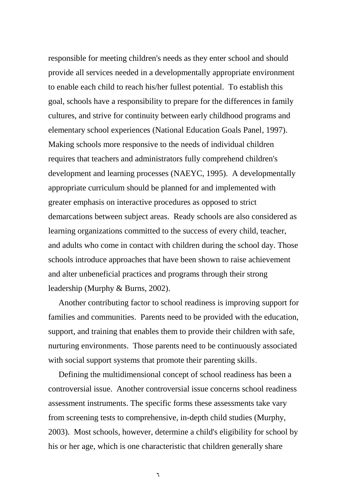responsible for meeting children's needs as they enter school and should provide all services needed in a developmentally appropriate environment to enable each child to reach his/her fullest potential. To establish this goal, schools have a responsibility to prepare for the differences in family cultures, and strive for continuity between early childhood programs and elementary school experiences (National Education Goals Panel, 1997). Making schools more responsive to the needs of individual children requires that teachers and administrators fully comprehend children's development and learning processes (NAEYC, 1995). A developmentally appropriate curriculum should be planned for and implemented with greater emphasis on interactive procedures as opposed to strict demarcations between subject areas. Ready schools are also considered as learning organizations committed to the success of every child, teacher, and adults who come in contact with children during the school day. Those schools introduce approaches that have been shown to raise achievement and alter unbeneficial practices and programs through their strong leadership (Murphy & Burns, 2002).

 Another contributing factor to school readiness is improving support for families and communities. Parents need to be provided with the education, support, and training that enables them to provide their children with safe, nurturing environments. Those parents need to be continuously associated with social support systems that promote their parenting skills.

 Defining the multidimensional concept of school readiness has been a controversial issue. Another controversial issue concerns school readiness assessment instruments. The specific forms these assessments take vary from screening tests to comprehensive, in-depth child studies (Murphy, 2003). Most schools, however, determine a child's eligibility for school by his or her age, which is one characteristic that children generally share

 $\mathbf{r}$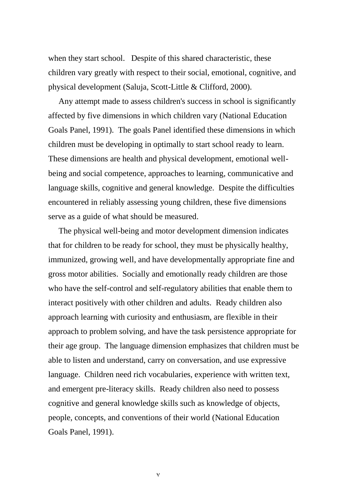when they start school. Despite of this shared characteristic, these children vary greatly with respect to their social, emotional, cognitive, and physical development (Saluja, Scott-Little & Clifford, 2000).

 Any attempt made to assess children's success in school is significantly affected by five dimensions in which children vary (National Education Goals Panel, 1991). The goals Panel identified these dimensions in which children must be developing in optimally to start school ready to learn. These dimensions are health and physical development, emotional wellbeing and social competence, approaches to learning, communicative and language skills, cognitive and general knowledge. Despite the difficulties encountered in reliably assessing young children, these five dimensions serve as a guide of what should be measured.

 The physical well-being and motor development dimension indicates that for children to be ready for school, they must be physically healthy, immunized, growing well, and have developmentally appropriate fine and gross motor abilities. Socially and emotionally ready children are those who have the self-control and self-regulatory abilities that enable them to interact positively with other children and adults. Ready children also approach learning with curiosity and enthusiasm, are flexible in their approach to problem solving, and have the task persistence appropriate for their age group. The language dimension emphasizes that children must be able to listen and understand, carry on conversation, and use expressive language. Children need rich vocabularies, experience with written text, and emergent pre-literacy skills. Ready children also need to possess cognitive and general knowledge skills such as knowledge of objects, people, concepts, and conventions of their world (National Education Goals Panel, 1991).

 $\checkmark$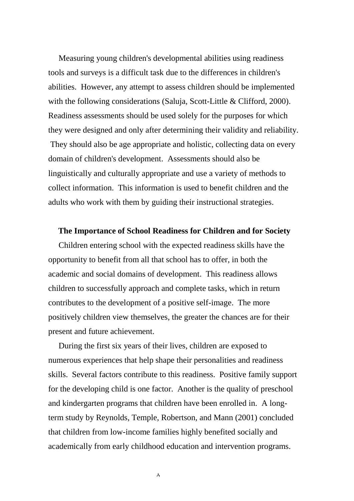Measuring young children's developmental abilities using readiness tools and surveys is a difficult task due to the differences in children's abilities. However, any attempt to assess children should be implemented with the following considerations (Saluja, Scott-Little & Clifford, 2000). Readiness assessments should be used solely for the purposes for which they were designed and only after determining their validity and reliability. They should also be age appropriate and holistic, collecting data on every domain of children's development. Assessments should also be linguistically and culturally appropriate and use a variety of methods to collect information. This information is used to benefit children and the adults who work with them by guiding their instructional strategies.

#### **The Importance of School Readiness for Children and for Society**

 Children entering school with the expected readiness skills have the opportunity to benefit from all that school has to offer, in both the academic and social domains of development. This readiness allows children to successfully approach and complete tasks, which in return contributes to the development of a positive self-image. The more positively children view themselves, the greater the chances are for their present and future achievement.

 During the first six years of their lives, children are exposed to numerous experiences that help shape their personalities and readiness skills. Several factors contribute to this readiness. Positive family support for the developing child is one factor. Another is the quality of preschool and kindergarten programs that children have been enrolled in. A longterm study by Reynolds, Temple, Robertson, and Mann (2001) concluded that children from low-income families highly benefited socially and academically from early childhood education and intervention programs.

 $\lambda$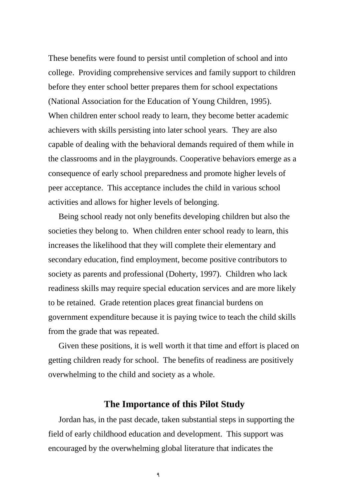These benefits were found to persist until completion of school and into college. Providing comprehensive services and family support to children before they enter school better prepares them for school expectations (National Association for the Education of Young Children, 1995). When children enter school ready to learn, they become better academic achievers with skills persisting into later school years. They are also capable of dealing with the behavioral demands required of them while in the classrooms and in the playgrounds. Cooperative behaviors emerge as a consequence of early school preparedness and promote higher levels of peer acceptance. This acceptance includes the child in various school activities and allows for higher levels of belonging.

 Being school ready not only benefits developing children but also the societies they belong to. When children enter school ready to learn, this increases the likelihood that they will complete their elementary and secondary education, find employment, become positive contributors to society as parents and professional (Doherty, 1997). Children who lack readiness skills may require special education services and are more likely to be retained. Grade retention places great financial burdens on government expenditure because it is paying twice to teach the child skills from the grade that was repeated.

 Given these positions, it is well worth it that time and effort is placed on getting children ready for school. The benefits of readiness are positively overwhelming to the child and society as a whole.

### **The Importance of this Pilot Study**

Jordan has, in the past decade, taken substantial steps in supporting the field of early childhood education and development. This support was encouraged by the overwhelming global literature that indicates the

9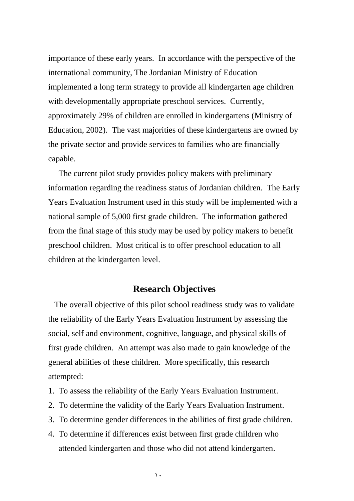importance of these early years. In accordance with the perspective of the international community, The Jordanian Ministry of Education implemented a long term strategy to provide all kindergarten age children with developmentally appropriate preschool services. Currently, approximately 29% of children are enrolled in kindergartens (Ministry of Education, 2002). The vast majorities of these kindergartens are owned by the private sector and provide services to families who are financially capable.

 The current pilot study provides policy makers with preliminary information regarding the readiness status of Jordanian children. The Early Years Evaluation Instrument used in this study will be implemented with a national sample of 5,000 first grade children. The information gathered from the final stage of this study may be used by policy makers to benefit preschool children. Most critical is to offer preschool education to all children at the kindergarten level.

### **Research Objectives**

 The overall objective of this pilot school readiness study was to validate the reliability of the Early Years Evaluation Instrument by assessing the social, self and environment, cognitive, language, and physical skills of first grade children. An attempt was also made to gain knowledge of the general abilities of these children. More specifically, this research attempted:

- 1. To assess the reliability of the Early Years Evaluation Instrument.
- 2. To determine the validity of the Early Years Evaluation Instrument.
- 3. To determine gender differences in the abilities of first grade children.
- 4. To determine if differences exist between first grade children who attended kindergarten and those who did not attend kindergarten.

 $\lambda$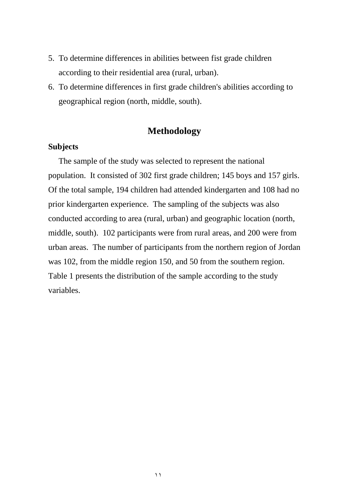- 5. To determine differences in abilities between fist grade children according to their residential area (rural, urban).
- 6. To determine differences in first grade children's abilities according to geographical region (north, middle, south).

## **Methodology**

### **Subjects**

 The sample of the study was selected to represent the national population. It consisted of 302 first grade children; 145 boys and 157 girls. Of the total sample, 194 children had attended kindergarten and 108 had no prior kindergarten experience. The sampling of the subjects was also conducted according to area (rural, urban) and geographic location (north, middle, south). 102 participants were from rural areas, and 200 were from urban areas. The number of participants from the northern region of Jordan was 102, from the middle region 150, and 50 from the southern region. Table 1 presents the distribution of the sample according to the study variables.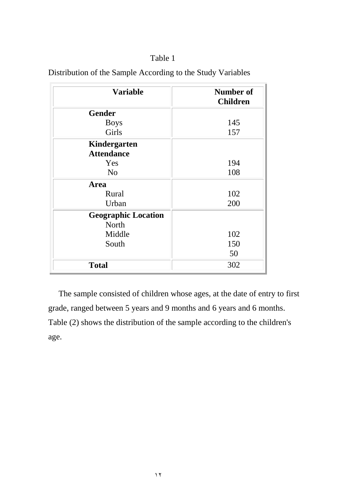| Table 1 |
|---------|
|         |

| <b>Variable</b>            | Number of<br><b>Children</b> |
|----------------------------|------------------------------|
| <b>Gender</b>              |                              |
| <b>Boys</b>                | 145                          |
| Girls                      | 157                          |
| Kindergarten               |                              |
| <b>Attendance</b>          |                              |
| Yes                        | 194                          |
| N <sub>o</sub>             | 108                          |
| Area                       |                              |
| Rural                      | 102                          |
| Urban                      | 200                          |
| <b>Geographic Location</b> |                              |
| North                      |                              |
| Middle                     | 102                          |
| South                      | 150                          |
|                            | 50                           |
| <b>Total</b>               | 302                          |

Distribution of the Sample According to the Study Variables

 The sample consisted of children whose ages, at the date of entry to first grade, ranged between 5 years and 9 months and 6 years and 6 months. Table (2) shows the distribution of the sample according to the children's age.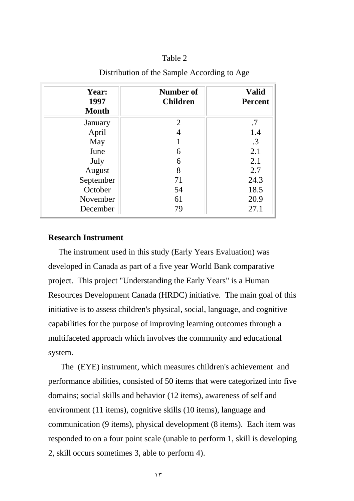| Year:<br>1997<br><b>Month</b> | Number of<br><b>Children</b> | <b>Valid</b><br><b>Percent</b> |
|-------------------------------|------------------------------|--------------------------------|
| January                       | 2                            | .7                             |
| April                         |                              | 1.4                            |
| May                           |                              | .3                             |
| June                          | 6                            | 2.1                            |
| July                          | 6                            | 2.1                            |
| August                        | 8                            | 2.7                            |
| September                     | 71                           | 24.3                           |
| October                       | 54                           | 18.5                           |
| November                      | 61                           | 20.9                           |
| December                      | 79                           | 27.1                           |

### Distribution of the Sample According to Age

### **Research Instrument**

 The instrument used in this study (Early Years Evaluation) was developed in Canada as part of a five year World Bank comparative project. This project "Understanding the Early Years" is a Human Resources Development Canada (HRDC) initiative. The main goal of this initiative is to assess children's physical, social, language, and cognitive capabilities for the purpose of improving learning outcomes through a multifaceted approach which involves the community and educational system.

 The (EYE) instrument, which measures children's achievement and performance abilities, consisted of 50 items that were categorized into five domains; social skills and behavior (12 items), awareness of self and environment (11 items), cognitive skills (10 items), language and communication (9 items), physical development (8 items). Each item was responded to on a four point scale (unable to perform 1, skill is developing 2, skill occurs sometimes 3, able to perform 4).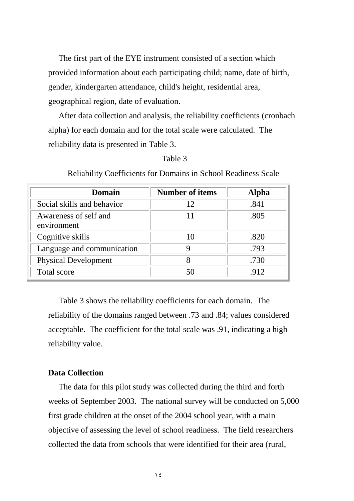The first part of the EYE instrument consisted of a section which provided information about each participating child; name, date of birth, gender, kindergarten attendance, child's height, residential area, geographical region, date of evaluation.

 After data collection and analysis, the reliability coefficients (cronbach alpha) for each domain and for the total scale were calculated. The reliability data is presented in Table 3.

#### Table 3

| Domain                               | <b>Number of items</b> | <b>Alpha</b> |
|--------------------------------------|------------------------|--------------|
| Social skills and behavior           | 12                     | .841         |
| Awareness of self and<br>environment |                        | .805         |
| Cognitive skills                     | 10                     | .820         |
| Language and communication           |                        | .793         |
| <b>Physical Development</b>          | 8                      | .730         |
| Total score                          | 50                     | .912         |

Reliability Coefficients for Domains in School Readiness Scale

 Table 3 shows the reliability coefficients for each domain. The reliability of the domains ranged between .73 and .84; values considered acceptable. The coefficient for the total scale was .91, indicating a high reliability value.

### **Data Collection**

 The data for this pilot study was collected during the third and forth weeks of September 2003. The national survey will be conducted on 5,000 first grade children at the onset of the 2004 school year, with a main objective of assessing the level of school readiness. The field researchers collected the data from schools that were identified for their area (rural,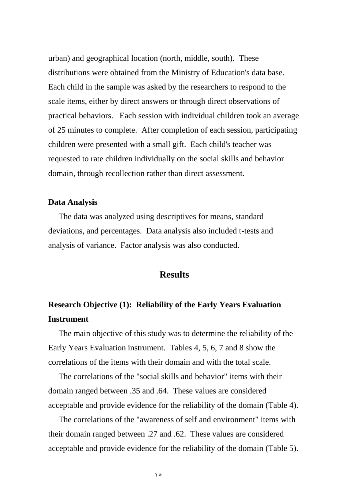urban) and geographical location (north, middle, south). These distributions were obtained from the Ministry of Education's data base. Each child in the sample was asked by the researchers to respond to the scale items, either by direct answers or through direct observations of practical behaviors. Each session with individual children took an average of 25 minutes to complete. After completion of each session, participating children were presented with a small gift. Each child's teacher was requested to rate children individually on the social skills and behavior domain, through recollection rather than direct assessment.

### **Data Analysis**

 The data was analyzed using descriptives for means, standard deviations, and percentages. Data analysis also included t-tests and analysis of variance. Factor analysis was also conducted.

### **Results**

# **Research Objective (1): Reliability of the Early Years Evaluation Instrument**

 The main objective of this study was to determine the reliability of the Early Years Evaluation instrument. Tables 4, 5, 6, 7 and 8 show the correlations of the items with their domain and with the total scale.

 The correlations of the "social skills and behavior" items with their domain ranged between .35 and .64. These values are considered acceptable and provide evidence for the reliability of the domain (Table 4).

 The correlations of the "awareness of self and environment" items with their domain ranged between .27 and .62. These values are considered acceptable and provide evidence for the reliability of the domain (Table 5).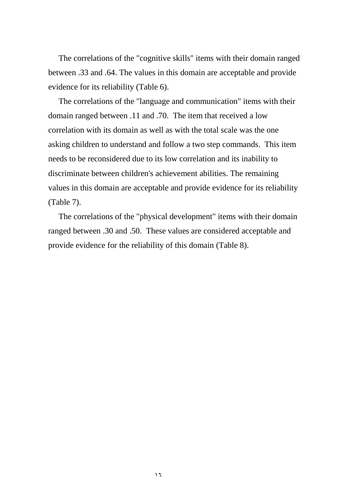The correlations of the "cognitive skills" items with their domain ranged between .33 and .64. The values in this domain are acceptable and provide evidence for its reliability (Table 6).

 The correlations of the "language and communication" items with their domain ranged between .11 and .70. The item that received a low correlation with its domain as well as with the total scale was the one asking children to understand and follow a two step commands. This item needs to be reconsidered due to its low correlation and its inability to discriminate between children's achievement abilities. The remaining values in this domain are acceptable and provide evidence for its reliability (Table 7).

 The correlations of the "physical development" items with their domain ranged between .30 and .50. These values are considered acceptable and provide evidence for the reliability of this domain (Table 8).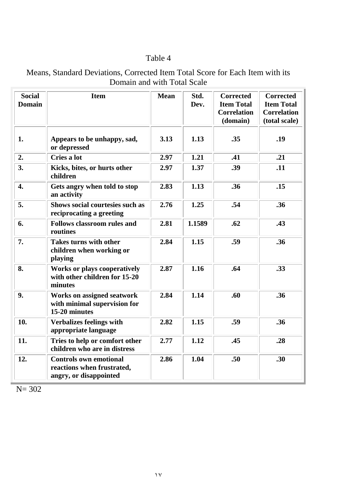| Means, Standard Deviations, Corrected Item Total Score for Each Item with its |  |
|-------------------------------------------------------------------------------|--|
| Domain and with Total Scale                                                   |  |

| <b>Social</b><br><b>Domain</b> | <b>Item</b>                                                                           | <b>Mean</b> | Std.<br>Dev. | <b>Corrected</b><br><b>Item Total</b><br><b>Correlation</b><br>(domain) | <b>Corrected</b><br><b>Item Total</b><br><b>Correlation</b><br>(total scale) |
|--------------------------------|---------------------------------------------------------------------------------------|-------------|--------------|-------------------------------------------------------------------------|------------------------------------------------------------------------------|
| 1.                             | Appears to be unhappy, sad,<br>or depressed                                           | 3.13        | 1.13         | .35                                                                     | .19                                                                          |
| 2.                             | Cries a lot                                                                           | 2.97        | 1.21         | .41                                                                     | .21                                                                          |
| 3.                             | Kicks, bites, or hurts other<br>children                                              | 2.97        | 1.37         | .39                                                                     | .11                                                                          |
| $\boldsymbol{4}$ .             | Gets angry when told to stop<br>an activity                                           | 2.83        | 1.13         | .36                                                                     | .15                                                                          |
| 5.                             | <b>Shows social courtesies such as</b><br>reciprocating a greeting                    | 2.76        | 1.25         | .54                                                                     | .36                                                                          |
| 6.                             | <b>Follows classroom rules and</b><br>routines                                        | 2.81        | 1.1589       | .62                                                                     | .43                                                                          |
| 7.                             | <b>Takes turns with other</b><br>children when working or<br>playing                  | 2.84        | 1.15         | .59                                                                     | .36                                                                          |
| 8.                             | <b>Works or plays cooperatively</b><br>with other children for 15-20<br>minutes       | 2.87        | 1.16         | .64                                                                     | .33                                                                          |
| 9.                             | <b>Works on assigned seatwork</b><br>with minimal supervision for<br>15-20 minutes    | 2.84        | 1.14         | .60                                                                     | .36                                                                          |
| 10.                            | <b>Verbalizes feelings with</b><br>appropriate language                               | 2.82        | 1.15         | .59                                                                     | .36                                                                          |
| 11.                            | Tries to help or comfort other<br>children who are in distress                        | 2.77        | 1.12         | .45                                                                     | .28                                                                          |
| 12.                            | <b>Controls own emotional</b><br>reactions when frustrated,<br>angry, or disappointed | 2.86        | 1.04         | .50                                                                     | .30                                                                          |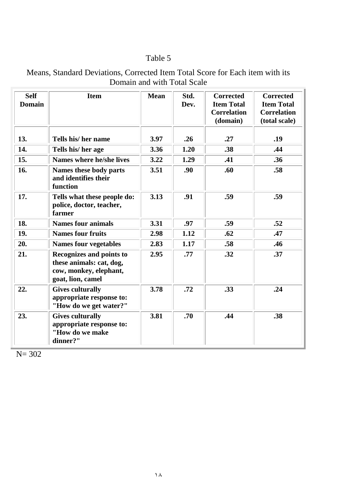| <b>Self</b><br><b>Domain</b> | <b>Item</b>                                                                                         | <b>Mean</b> | Std.<br>Dev. | <b>Corrected</b><br><b>Item Total</b><br><b>Correlation</b><br>(domain) | <b>Corrected</b><br><b>Item Total</b><br><b>Correlation</b><br>(total scale) |
|------------------------------|-----------------------------------------------------------------------------------------------------|-------------|--------------|-------------------------------------------------------------------------|------------------------------------------------------------------------------|
| 13.                          | Tells his/ her name                                                                                 | 3.97        | .26          | .27                                                                     | .19                                                                          |
| 14.                          | Tells his/her age                                                                                   | 3.36        | 1.20         | .38                                                                     | .44                                                                          |
| 15.                          | <b>Names where he/she lives</b>                                                                     | 3.22        | 1.29         | .41                                                                     | .36                                                                          |
| 16.                          | Names these body parts<br>and identifies their<br>function                                          | 3.51        | .90          | .60                                                                     | .58                                                                          |
| 17.                          | Tells what these people do:<br>police, doctor, teacher,<br>farmer                                   | 3.13        | .91          | .59                                                                     | .59                                                                          |
| 18.                          | <b>Names four animals</b>                                                                           | 3.31        | .97          | .59                                                                     | .52                                                                          |
| 19.                          | <b>Names four fruits</b>                                                                            | 2.98        | 1.12         | .62                                                                     | .47                                                                          |
| 20.                          | <b>Names four vegetables</b>                                                                        | 2.83        | 1.17         | .58                                                                     | .46                                                                          |
| 21.                          | Recognizes and points to<br>these animals: cat, dog,<br>cow, monkey, elephant,<br>goat, lion, camel | 2.95        | .77          | .32                                                                     | .37                                                                          |
| 22.                          | <b>Gives culturally</b><br>appropriate response to:<br>"How do we get water?"                       | 3.78        | .72          | .33                                                                     | .24                                                                          |
| 23.                          | <b>Gives culturally</b><br>appropriate response to:<br>"How do we make<br>dinner?"                  | 3.81        | .70          | .44                                                                     | .38                                                                          |

Means, Standard Deviations, Corrected Item Total Score for Each item with its Domain and with Total Scale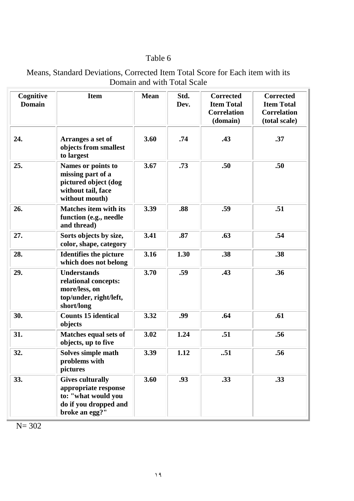| Means, Standard Deviations, Corrected Item Total Score for Each item with its |
|-------------------------------------------------------------------------------|
| Domain and with Total Scale                                                   |
|                                                                               |

| Cognitive<br><b>Domain</b> | <b>Item</b>                                                                                                       | <b>Mean</b> | Std.<br>Dev. | <b>Corrected</b><br><b>Item Total</b><br><b>Correlation</b><br>(domain) | <b>Corrected</b><br><b>Item Total</b><br><b>Correlation</b><br>(total scale) |
|----------------------------|-------------------------------------------------------------------------------------------------------------------|-------------|--------------|-------------------------------------------------------------------------|------------------------------------------------------------------------------|
| 24.                        | Arranges a set of<br>objects from smallest<br>to largest                                                          | 3.60        | .74          | .43                                                                     | .37                                                                          |
| 25.                        | Names or points to<br>missing part of a<br>pictured object (dog<br>without tail, face<br>without mouth)           | 3.67        | .73          | .50                                                                     | .50                                                                          |
| 26.                        | <b>Matches item with its</b><br>function (e.g., needle<br>and thread)                                             | 3.39        | .88          | .59                                                                     | .51                                                                          |
| 27.                        | Sorts objects by size,<br>color, shape, category                                                                  | 3.41        | .87          | .63                                                                     | .54                                                                          |
| 28.                        | <b>Identifies the picture</b><br>which does not belong                                                            | 3.16        | 1.30         | .38                                                                     | .38                                                                          |
| 29.                        | <b>Understands</b><br>relational concepts:<br>more/less, on<br>top/under, right/left,<br>short/long               | 3.70        | .59          | .43                                                                     | .36                                                                          |
| 30.                        | <b>Counts 15 identical</b><br>objects                                                                             | 3.32        | .99          | .64                                                                     | .61                                                                          |
| 31.                        | Matches equal sets of<br>objects, up to five                                                                      | 3.02        | 1.24         | .51                                                                     | .56                                                                          |
| 32.                        | Solves simple math<br>problems with<br>pictures                                                                   | 3.39        | 1.12         | .51                                                                     | .56                                                                          |
| 33.                        | <b>Gives culturally</b><br>appropriate response<br>to: "what would you<br>do if you dropped and<br>broke an egg?" | 3.60        | .93          | .33                                                                     | .33                                                                          |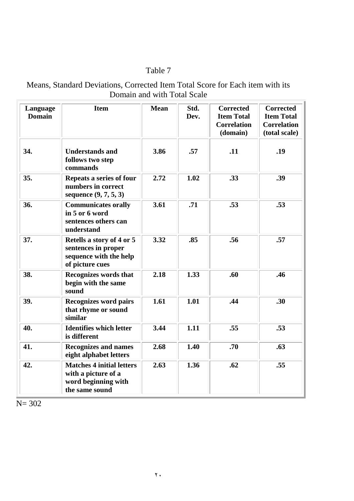## Means, Standard Deviations, Corrected Item Total Score for Each item with its Domain and with Total Scale

| Language<br><b>Domain</b> | <b>Item</b>                                                                                      | <b>Mean</b> | Std.<br>Dev. | <b>Corrected</b><br><b>Item Total</b><br><b>Correlation</b><br>(domain) | <b>Corrected</b><br><b>Item Total</b><br><b>Correlation</b><br>(total scale) |
|---------------------------|--------------------------------------------------------------------------------------------------|-------------|--------------|-------------------------------------------------------------------------|------------------------------------------------------------------------------|
| 34.                       | <b>Understands and</b><br>follows two step<br>commands                                           | 3.86        | .57          | .11                                                                     | .19                                                                          |
| 35.                       | Repeats a series of four<br>numbers in correct<br>sequence $(9, 7, 5, 3)$                        | 2.72        | 1.02         | .33                                                                     | .39                                                                          |
| 36.                       | <b>Communicates orally</b><br>in 5 or 6 word<br>sentences others can<br>understand               | 3.61        | .71          | .53                                                                     | .53                                                                          |
| 37.                       | Retells a story of 4 or 5<br>sentences in proper<br>sequence with the help<br>of picture cues    | 3.32        | .85          | .56                                                                     | .57                                                                          |
| 38.                       | <b>Recognizes words that</b><br>begin with the same<br>sound                                     | 2.18        | 1.33         | .60                                                                     | .46                                                                          |
| 39.                       | <b>Recognizes word pairs</b><br>that rhyme or sound<br>similar                                   | 1.61        | 1.01         | .44                                                                     | .30                                                                          |
| 40.                       | <b>Identifies which letter</b><br>is different                                                   | 3.44        | 1.11         | .55                                                                     | .53                                                                          |
| 41.                       | <b>Recognizes and names</b><br>eight alphabet letters                                            | 2.68        | 1.40         | .70                                                                     | .63                                                                          |
| 42.                       | <b>Matches 4 initial letters</b><br>with a picture of a<br>word beginning with<br>the same sound | 2.63        | 1.36         | .62                                                                     | .55                                                                          |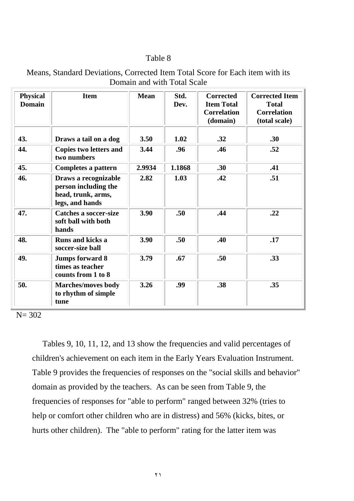| <b>Physical</b><br><b>Domain</b> | <b>Item</b>                                                                           | <b>Mean</b> | Std.<br>Dev.     | <b>Corrected</b><br><b>Item Total</b><br><b>Correlation</b><br>(domain) | <b>Corrected Item</b><br><b>Total</b><br><b>Correlation</b><br>(total scale) |
|----------------------------------|---------------------------------------------------------------------------------------|-------------|------------------|-------------------------------------------------------------------------|------------------------------------------------------------------------------|
| 43.                              | Draws a tail on a dog                                                                 | 3.50        | 1.02             | .32                                                                     | .30                                                                          |
| 44.                              | Copies two letters and<br>two numbers                                                 | 3.44        | .96              | .46                                                                     | .52                                                                          |
| 45.                              | Completes a pattern                                                                   | 2.9934      | 1.1868           | .30                                                                     | .41                                                                          |
| 46.                              | Draws a recognizable<br>person including the<br>head, trunk, arms,<br>legs, and hands | 2.82        | 1.03             | .42                                                                     | .51                                                                          |
| 47.                              | <b>Catches a soccer-size</b><br>soft ball with both<br>hands                          | 3.90        | .50 <sub>1</sub> | .44                                                                     | .22                                                                          |
| 48.                              | Runs and kicks a<br>soccer-size ball                                                  | 3.90        | .50              | .40                                                                     | .17                                                                          |
| 49.                              | <b>Jumps forward 8</b><br>times as teacher<br>counts from 1 to 8                      | 3.79        | .67              | .50                                                                     | .33                                                                          |
| 50.                              | <b>Marches/moves body</b><br>to rhythm of simple<br>tune                              | 3.26        | .99              | .38                                                                     | .35                                                                          |

Means, Standard Deviations, Corrected Item Total Score for Each item with its Domain and with Total Scale

N= 302

 Tables 9, 10, 11, 12, and 13 show the frequencies and valid percentages of children's achievement on each item in the Early Years Evaluation Instrument. Table 9 provides the frequencies of responses on the "social skills and behavior" domain as provided by the teachers. As can be seen from Table 9, the frequencies of responses for "able to perform" ranged between 32% (tries to help or comfort other children who are in distress) and 56% (kicks, bites, or hurts other children). The "able to perform" rating for the latter item was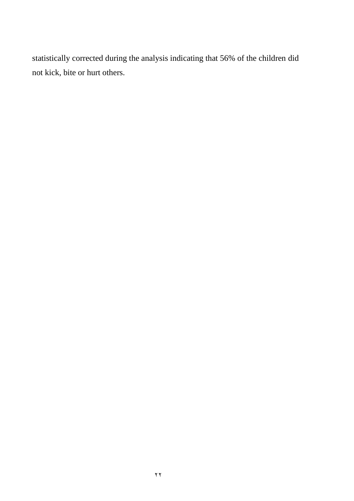statistically corrected during the analysis indicating that 56% of the children did not kick, bite or hurt others.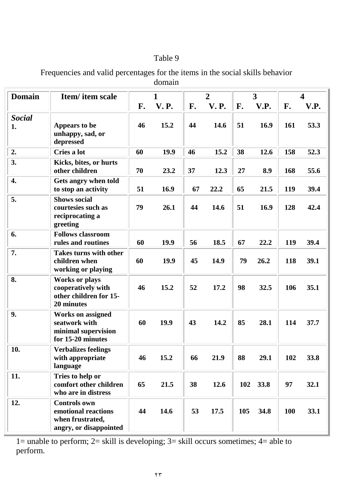Frequencies and valid percentages for the items in the social skills behavior domain

| <b>Domain</b>       | Item/ item scale                                                                         |    | $\mathbf{1}$ | $\overline{2}$ |             | 3   |      | $\overline{\mathbf{4}}$ |      |
|---------------------|------------------------------------------------------------------------------------------|----|--------------|----------------|-------------|-----|------|-------------------------|------|
|                     |                                                                                          | F. | <b>V.P.</b>  | F.             | <b>V.P.</b> | F.  | V.P. | F.                      | V.P. |
| <b>Social</b><br>1. | Appears to be<br>unhappy, sad, or<br>depressed                                           | 46 | 15.2         | 44             | 14.6        | 51  | 16.9 | 161                     | 53.3 |
| 2.                  | Cries a lot                                                                              | 60 | 19.9         | 46             | 15.2        | 38  | 12.6 | 158                     | 52.3 |
| 3.                  | Kicks, bites, or hurts<br>other children                                                 | 70 | 23.2         | 37             | 12.3        | 27  | 8.9  | 168                     | 55.6 |
| 4.                  | Gets angry when told<br>to stop an activity                                              | 51 | 16.9         | 67             | 22.2        | 65  | 21.5 | 119                     | 39.4 |
| 5.                  | <b>Shows social</b><br>courtesies such as<br>reciprocating a<br>greeting                 | 79 | 26.1         | 44             | 14.6        | 51  | 16.9 | 128                     | 42.4 |
| 6.                  | <b>Follows classroom</b><br>rules and routines                                           | 60 | 19.9         | 56             | 18.5        | 67  | 22.2 | 119                     | 39.4 |
| 7.                  | <b>Takes turns with other</b><br>children when<br>working or playing                     | 60 | 19.9         | 45             | 14.9        | 79  | 26.2 | 118                     | 39.1 |
| 8.                  | <b>Works or plays</b><br>cooperatively with<br>other children for 15-<br>20 minutes      | 46 | 15.2         | 52             | 17.2        | 98  | 32.5 | 106                     | 35.1 |
| 9.                  | <b>Works on assigned</b><br>seatwork with<br>minimal supervision<br>for 15-20 minutes    | 60 | 19.9         | 43             | 14.2        | 85  | 28.1 | 114                     | 37.7 |
| 10.                 | <b>Verbalizes feelings</b><br>with appropriate<br>language                               | 46 | 15.2         | 66             | 21.9        | 88  | 29.1 | 102                     | 33.8 |
| 11.                 | Tries to help or<br>comfort other children<br>who are in distress                        | 65 | 21.5         | 38             | 12.6        | 102 | 33.8 | 97                      | 32.1 |
| 12.                 | <b>Controls own</b><br>emotional reactions<br>when frustrated,<br>angry, or disappointed | 44 | 14.6         | 53             | 17.5        | 105 | 34.8 | 100                     | 33.1 |

1= unable to perform; 2= skill is developing; 3= skill occurs sometimes; 4= able to perform.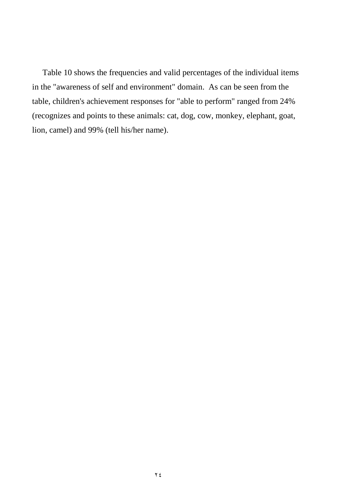Table 10 shows the frequencies and valid percentages of the individual items in the "awareness of self and environment" domain. As can be seen from the table, children's achievement responses for "able to perform" ranged from 24% (recognizes and points to these animals: cat, dog, cow, monkey, elephant, goat, lion, camel) and 99% (tell his/her name).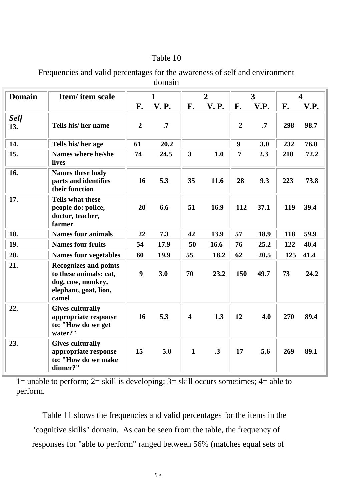| Frequencies and valid percentages for the awareness of self and environment |
|-----------------------------------------------------------------------------|
| domain                                                                      |

| <b>Domain</b>      | <b>Item/</b> item scale                                                                                       |                | 1           |                         | $\overline{2}$ |                | 3         |     | $\overline{\mathbf{4}}$ |
|--------------------|---------------------------------------------------------------------------------------------------------------|----------------|-------------|-------------------------|----------------|----------------|-----------|-----|-------------------------|
|                    |                                                                                                               | F.             | <b>V.P.</b> | F.                      | <b>V.P.</b>    | F.             | V.P.      | F.  | V.P.                    |
| <b>Self</b><br>13. | Tells his/ her name                                                                                           | $\overline{2}$ | $\cdot$     |                         |                | $\overline{2}$ | $\cdot$ 7 | 298 | 98.7                    |
| 14.                | Tells his/her age                                                                                             | 61             | 20.2        |                         |                | 9              | 3.0       | 232 | 76.8                    |
| 15.                | Names where he/she<br>lives                                                                                   | 74             | 24.5        | 3                       | 1.0            | 7              | 2.3       | 218 | 72.2                    |
| 16.                | Names these body<br>parts and identifies<br>their function                                                    | 16             | 5.3         | 35                      | 11.6           | 28             | 9.3       | 223 | 73.8                    |
| 17.                | <b>Tells what these</b><br>people do: police,<br>doctor, teacher,<br>farmer                                   | 20             | 6.6         | 51                      | 16.9           | 112            | 37.1      | 119 | 39.4                    |
| 18.                | <b>Names four animals</b>                                                                                     | 22             | 7.3         | 42                      | 13.9           | 57             | 18.9      | 118 | 59.9                    |
| 19.                | <b>Names four fruits</b>                                                                                      | 54             | 17.9        | 50                      | 16.6           | 76             | 25.2      | 122 | 40.4                    |
| 20.                | <b>Names four vegetables</b>                                                                                  | 60             | 19.9        | 55                      | 18.2           | 62             | 20.5      | 125 | 41.4                    |
| 21.                | <b>Recognizes and points</b><br>to these animals: cat,<br>dog, cow, monkey,<br>elephant, goat, lion,<br>camel | 9              | 3.0         | 70                      | 23.2           | 150            | 49.7      | 73  | 24.2                    |
| 22.                | <b>Gives culturally</b><br>appropriate response<br>to: "How do we get<br>water?"                              | 16             | 5.3         | $\overline{\mathbf{4}}$ | 1.3            | 12             | 4.0       | 270 | 89.4                    |
| 23.                | <b>Gives culturally</b><br>appropriate response<br>to: "How do we make<br>dinner?"                            | 15             | 5.0         | $\mathbf{1}$            | $\cdot$ 3      | 17             | 5.6       | 269 | 89.1                    |

1= unable to perform;  $2=$  skill is developing;  $3=$  skill occurs sometimes;  $4=$  able to perform.

 Table 11 shows the frequencies and valid percentages for the items in the "cognitive skills" domain. As can be seen from the table, the frequency of responses for "able to perform" ranged between 56% (matches equal sets of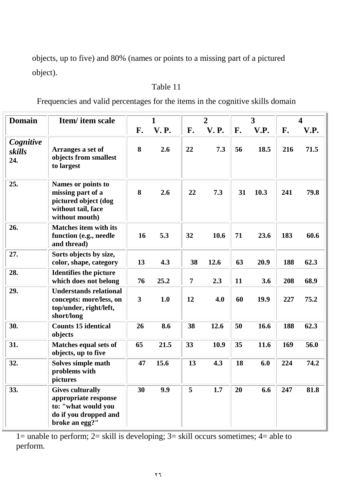objects, up to five) and 80% (names or points to a missing part of a pictured object).

## Table 11

Frequencies and valid percentages for the items in the cognitive skills domain

| <b>Domain</b>              | Item/item scale                                                                                                   |                         | $\mathbf{1}$ |                | $\overline{2}$ |    | 3    |     | 4    |
|----------------------------|-------------------------------------------------------------------------------------------------------------------|-------------------------|--------------|----------------|----------------|----|------|-----|------|
|                            |                                                                                                                   | F.                      | <b>V.P.</b>  | F.             | <b>V.P.</b>    | F. | V.P. | F.  | V.P. |
| Cognitive<br>skills<br>24. | Arranges a set of<br>objects from smallest<br>to largest                                                          | 8                       | 2.6          | 22             | 7.3            | 56 | 18.5 | 216 | 71.5 |
| 25.                        | Names or points to<br>missing part of a<br>pictured object (dog<br>without tail, face<br>without mouth)           | 8                       | 2.6          | 22             | 7.3            | 31 | 10.3 | 241 | 79.8 |
| 26.                        | <b>Matches item with its</b><br>function (e.g., needle<br>and thread)                                             | 16                      | 5.3          | 32             | 10.6           | 71 | 23.6 | 183 | 60.6 |
| 27.                        | Sorts objects by size,<br>color, shape, category                                                                  | 13                      | 4.3          | 38             | 12.6           | 63 | 20.9 | 188 | 62.3 |
| 28.                        | <b>Identifies the picture</b><br>which does not belong                                                            | 76                      | 25.2         | $\overline{7}$ | 2.3            | 11 | 3.6  | 208 | 68.9 |
| 29.                        | <b>Understands relational</b><br>concepts: more/less, on<br>top/under, right/left,<br>short/long                  | $\overline{\mathbf{3}}$ | 1.0          | 12             | 4.0            | 60 | 19.9 | 227 | 75.2 |
| 30.                        | <b>Counts 15 identical</b><br>objects                                                                             | 26                      | 8.6          | 38             | 12.6           | 50 | 16.6 | 188 | 62.3 |
| 31.                        | Matches equal sets of<br>objects, up to five                                                                      | 65                      | 21.5         | 33             | 10.9           | 35 | 11.6 | 169 | 56.0 |
| 32.                        | Solves simple math<br>problems with<br>pictures                                                                   | 47                      | 15.6         | 13             | 4.3            | 18 | 6.0  | 224 | 74.2 |
| 33.                        | <b>Gives culturally</b><br>appropriate response<br>to: "what would you<br>do if you dropped and<br>broke an egg?" | 30                      | 9.9          | 5              | 1.7            | 20 | 6.6  | 247 | 81.8 |

1= unable to perform; 2= skill is developing; 3= skill occurs sometimes; 4= able to perform.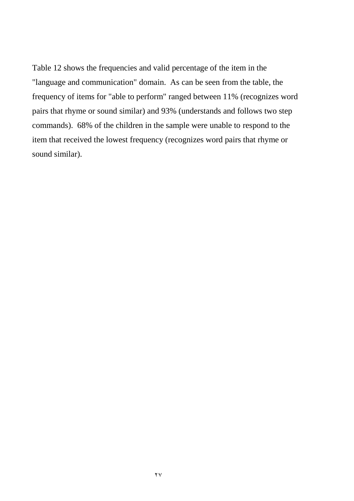Table 12 shows the frequencies and valid percentage of the item in the "language and communication" domain. As can be seen from the table, the frequency of items for "able to perform" ranged between 11% (recognizes word pairs that rhyme or sound similar) and 93% (understands and follows two step commands). 68% of the children in the sample were unable to respond to the item that received the lowest frequency (recognizes word pairs that rhyme or sound similar).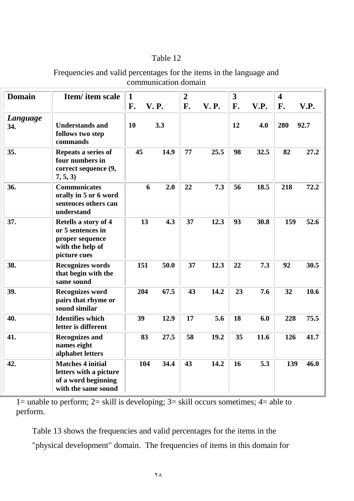| Frequencies and valid percentages for the items in the language and |  |
|---------------------------------------------------------------------|--|
| communication domain                                                |  |

| <b>Domain</b>   | Item/item scale                                                                                  | $\mathbf{1}$ |             | $\overline{2}$ |             | 3  |      | $\overline{\mathbf{4}}$ |      |
|-----------------|--------------------------------------------------------------------------------------------------|--------------|-------------|----------------|-------------|----|------|-------------------------|------|
|                 |                                                                                                  | F.           | <b>V.P.</b> | F.             | <b>V.P.</b> | F. | V.P. | F.                      | V.P. |
| Language<br>34. | <b>Understands and</b><br>follows two step<br>commands                                           | 10           | 3.3         |                |             | 12 | 4.0  | 280                     | 92.7 |
| 35.             | Repeats a series of<br>four numbers in<br>correct sequence (9,<br>7, 5, 3)                       | 45           | 14.9        | 77             | 25.5        | 98 | 32.5 | 82                      | 27.2 |
| 36.             | <b>Communicates</b><br>orally in 5 or 6 word<br>sentences others can<br>understand               |              | 6<br>2.0    | 22             | 7.3         | 56 | 18.5 | 218                     | 72.2 |
| 37.             | Retells a story of 4<br>or 5 sentences in<br>proper sequence<br>with the help of<br>picture cues | 13           | 4.3         | 37             | 12.3        | 93 | 30.8 | 159                     | 52.6 |
| 38.             | <b>Recognizes words</b><br>that begin with the<br>same sound                                     | 151          | 50.0        | 37             | 12.3        | 22 | 7.3  | 92                      | 30.5 |
| 39.             | <b>Recognizes word</b><br>pairs that rhyme or<br>sound similar                                   | 204          | 67.5        | 43             | 14.2        | 23 | 7.6  | 32                      | 10.6 |
| 40.             | <b>Identifies which</b><br>letter is different                                                   | 39           | 12.9        | 17             | 5.6         | 18 | 6.0  | 228                     | 75.5 |
| 41.             | <b>Recognizes and</b><br>names eight<br>alphabet letters                                         | 83           | 27.5        | 58             | 19.2        | 35 | 11.6 | 126                     | 41.7 |
| 42.             | <b>Matches 4 initial</b><br>letters with a picture<br>of a word beginning<br>with the same sound | 104          | 34.4        | 43             | 14.2        | 16 | 5.3  | 139                     | 46.0 |

1= unable to perform; 2= skill is developing; 3= skill occurs sometimes; 4= able to perform.

Table 13 shows the frequencies and valid percentages for the items in the

"physical development" domain. The frequencies of items in this domain for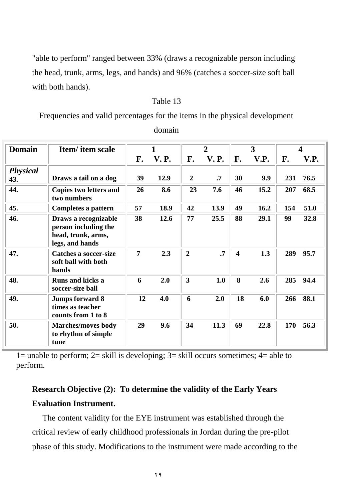"able to perform" ranged between 33% (draws a recognizable person including the head, trunk, arms, legs, and hands) and 96% (catches a soccer-size soft ball with both hands).

### Table 13

Frequencies and valid percentages for the items in the physical development

| <b>Domain</b>          | Item/ item scale                                                                      |                | $\mathbf{1}$ |                         | $\overline{2}$ |                         | 3    |     | Δ    |
|------------------------|---------------------------------------------------------------------------------------|----------------|--------------|-------------------------|----------------|-------------------------|------|-----|------|
|                        |                                                                                       | F.             | <b>V.P.</b>  | F.                      | <b>V.P.</b>    | F.                      | V.P. | F.  | V.P. |
| <b>Physical</b><br>43. | Draws a tail on a dog                                                                 | 39             | 12.9         | $\overline{2}$          | $\cdot$        | 30                      | 9.9  | 231 | 76.5 |
| 44.                    | Copies two letters and<br>two numbers                                                 | 26             | 8.6          | 23                      | 7.6            | 46                      | 15.2 | 207 | 68.5 |
| 45.                    | Completes a pattern                                                                   | 57             | 18.9         | 42                      | 13.9           | 49                      | 16.2 | 154 | 51.0 |
| 46.                    | Draws a recognizable<br>person including the<br>head, trunk, arms,<br>legs, and hands | 38             | 12.6         | 77                      | 25.5           | 88                      | 29.1 | 99  | 32.8 |
| 47.                    | <b>Catches a soccer-size</b><br>soft ball with both<br>hands                          | $\overline{7}$ | 2.3          | $\overline{2}$          | $\cdot$ 7      | $\overline{\mathbf{4}}$ | 1.3  | 289 | 95.7 |
| 48.                    | <b>Runs and kicks a</b><br>soccer-size ball                                           | 6              | 2.0          | $\overline{\mathbf{3}}$ | 1.0            | 8                       | 2.6  | 285 | 94.4 |
| 49.                    | <b>Jumps forward 8</b><br>times as teacher<br>counts from 1 to 8                      | 12             | 4.0          | 6                       | 2.0            | 18                      | 6.0  | 266 | 88.1 |
| 50.                    | <b>Marches/moves body</b><br>to rhythm of simple<br>tune                              | 29             | 9.6          | 34                      | 11.3           | 69                      | 22.8 | 170 | 56.3 |

domain

1= unable to perform;  $2=$  skill is developing;  $3=$  skill occurs sometimes;  $4=$  able to perform.

# **Research Objective (2): To determine the validity of the Early Years Evaluation Instrument.**

The content validity for the EYE instrument was established through the critical review of early childhood professionals in Jordan during the pre-pilot phase of this study. Modifications to the instrument were made according to the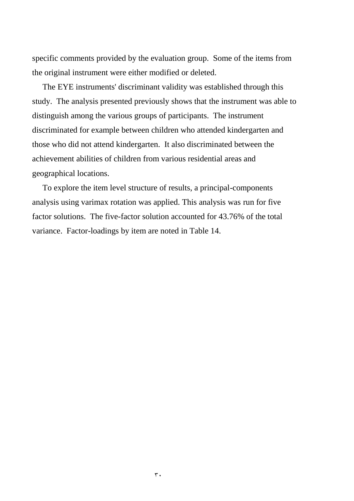specific comments provided by the evaluation group. Some of the items from the original instrument were either modified or deleted.

 The EYE instruments' discriminant validity was established through this study. The analysis presented previously shows that the instrument was able to distinguish among the various groups of participants. The instrument discriminated for example between children who attended kindergarten and those who did not attend kindergarten. It also discriminated between the achievement abilities of children from various residential areas and geographical locations.

 To explore the item level structure of results, a principal-components analysis using varimax rotation was applied. This analysis was run for five factor solutions. The five-factor solution accounted for 43.76% of the total variance. Factor-loadings by item are noted in Table 14.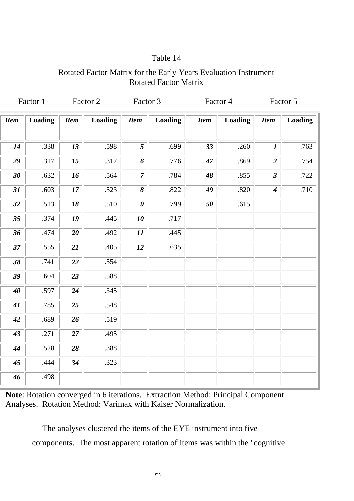## Rotated Factor Matrix for the Early Years Evaluation Instrument Rotated Factor Matrix

|             | Factor 1 |             | Factor 2       | Factor 3         |                | Factor 4    |                |                  | Factor 5       |
|-------------|----------|-------------|----------------|------------------|----------------|-------------|----------------|------------------|----------------|
| <b>Item</b> | Loading  | <b>Item</b> | <b>Loading</b> | <b>Item</b>      | <b>Loading</b> | <b>Item</b> | <b>Loading</b> | <b>Item</b>      | <b>Loading</b> |
| 14          | .338     | 13          | .598           | 5                | .699           | 33          | .260           | $\boldsymbol{l}$ | .763           |
| 29          | .317     | 15          | .317           | 6                | .776           | 47          | .869           | $\overline{2}$   | .754           |
| 30          | .632     | 16          | .564           | $\overline{7}$   | .784           | 48          | .855           | $\mathfrak{z}$   | .722           |
| 31          | .603     | 17          | .523           | 8                | .822           | 49          | .820           | $\boldsymbol{4}$ | .710           |
| 32          | .513     | 18          | .510           | $\boldsymbol{g}$ | .799           | 50          | .615           |                  |                |
| 35          | .374     | 19          | .445           | 10               | .717           |             |                |                  |                |
| 36          | .474     | 20          | .492           | 11               | .445           |             |                |                  |                |
| 37          | .555     | 21          | .405           | 12               | .635           |             |                |                  |                |
| 38          | .741     | 22          | .554           |                  |                |             |                |                  |                |
| 39          | .604     | 23          | .588           |                  |                |             |                |                  |                |
| 40          | .597     | 24          | .345           |                  |                |             |                |                  |                |
| 41          | .785     | 25          | .548           |                  |                |             |                |                  |                |
| 42          | .689     | 26          | .519           |                  |                |             |                |                  |                |
| 43          | .271     | 27          | .495           |                  |                |             |                |                  |                |
| 44          | .528     | 28          | .388           |                  |                |             |                |                  |                |
| 45          | .444     | 34          | .323           |                  |                |             |                |                  |                |
| 46          | .498     |             |                |                  |                |             |                |                  |                |

**Note**: Rotation converged in 6 iterations. Extraction Method: Principal Component Analyses. Rotation Method: Varimax with Kaiser Normalization.

 The analyses clustered the items of the EYE instrument into five components. The most apparent rotation of items was within the "cognitive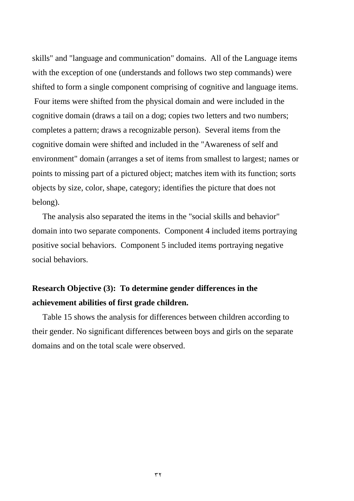skills" and "language and communication" domains. All of the Language items with the exception of one (understands and follows two step commands) were shifted to form a single component comprising of cognitive and language items. Four items were shifted from the physical domain and were included in the cognitive domain (draws a tail on a dog; copies two letters and two numbers; completes a pattern; draws a recognizable person). Several items from the cognitive domain were shifted and included in the "Awareness of self and environment" domain (arranges a set of items from smallest to largest; names or points to missing part of a pictured object; matches item with its function; sorts objects by size, color, shape, category; identifies the picture that does not belong).

 The analysis also separated the items in the "social skills and behavior" domain into two separate components. Component 4 included items portraying positive social behaviors. Component 5 included items portraying negative social behaviors.

# **Research Objective (3): To determine gender differences in the achievement abilities of first grade children.**

 Table 15 shows the analysis for differences between children according to their gender. No significant differences between boys and girls on the separate domains and on the total scale were observed.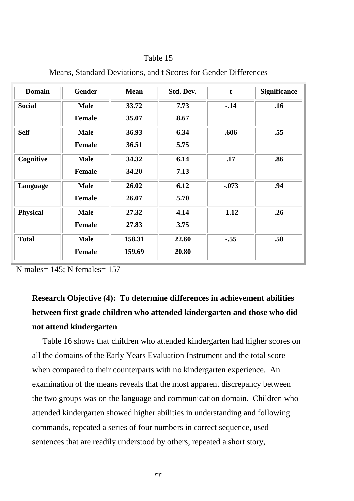| <b>Domain</b>   | <b>Gender</b> | <b>Mean</b> | Std. Dev. | $\mathbf t$ | <b>Significance</b> |
|-----------------|---------------|-------------|-----------|-------------|---------------------|
| <b>Social</b>   | <b>Male</b>   | 33.72       | 7.73      | $-14$       | .16                 |
|                 | <b>Female</b> | 35.07       | 8.67      |             |                     |
| <b>Self</b>     | <b>Male</b>   | 36.93       | 6.34      | .606        | .55                 |
|                 | <b>Female</b> | 36.51       | 5.75      |             |                     |
| Cognitive       | <b>Male</b>   | 34.32       | 6.14      | .17         | .86                 |
|                 | <b>Female</b> | 34.20       | 7.13      |             |                     |
| Language        | <b>Male</b>   | 26.02       | 6.12      | $-.073$     | .94                 |
|                 | <b>Female</b> | 26.07       | 5.70      |             |                     |
| <b>Physical</b> | <b>Male</b>   | 27.32       | 4.14      | $-1.12$     | .26                 |
|                 | <b>Female</b> | 27.83       | 3.75      |             |                     |
| <b>Total</b>    | <b>Male</b>   | 158.31      | 22.60     | $-.55$      | .58                 |
|                 | <b>Female</b> | 159.69      | 20.80     |             |                     |

Means, Standard Deviations, and t Scores for Gender Differences

N males= 145; N females= 157

# **Research Objective (4): To determine differences in achievement abilities between first grade children who attended kindergarten and those who did not attend kindergarten**

 Table 16 shows that children who attended kindergarten had higher scores on all the domains of the Early Years Evaluation Instrument and the total score when compared to their counterparts with no kindergarten experience. An examination of the means reveals that the most apparent discrepancy between the two groups was on the language and communication domain. Children who attended kindergarten showed higher abilities in understanding and following commands, repeated a series of four numbers in correct sequence, used sentences that are readily understood by others, repeated a short story,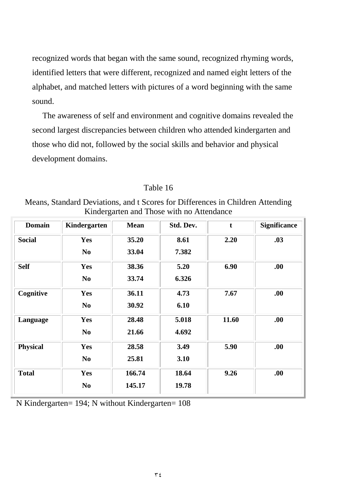recognized words that began with the same sound, recognized rhyming words, identified letters that were different, recognized and named eight letters of the alphabet, and matched letters with pictures of a word beginning with the same sound.

 The awareness of self and environment and cognitive domains revealed the second largest discrepancies between children who attended kindergarten and those who did not, followed by the social skills and behavior and physical development domains.

| Table 16 |  |
|----------|--|
|----------|--|

Means, Standard Deviations, and t Scores for Differences in Children Attending Kindergarten and Those with no Attendance

| <b>Domain</b>   | Kindergarten   | <b>Mean</b> | Std. Dev. | $\mathbf t$ | <b>Significance</b> |
|-----------------|----------------|-------------|-----------|-------------|---------------------|
| <b>Social</b>   | <b>Yes</b>     | 35.20       | 8.61      | 2.20        | .03                 |
|                 | N <sub>0</sub> | 33.04       | 7.382     |             |                     |
| <b>Self</b>     | Yes            | 38.36       | 5.20      | 6.90        | .00.                |
|                 | N <sub>0</sub> | 33.74       | 6.326     |             |                     |
| Cognitive       | <b>Yes</b>     | 36.11       | 4.73      | 7.67        | .00.                |
|                 | N <sub>0</sub> | 30.92       | 6.10      |             |                     |
| Language        | Yes            | 28.48       | 5.018     | 11.60       | .00.                |
|                 | N <sub>0</sub> | 21.66       | 4.692     |             |                     |
| <b>Physical</b> | Yes            | 28.58       | 3.49      | 5.90        | .00.                |
|                 | N <sub>0</sub> | 25.81       | 3.10      |             |                     |
| <b>Total</b>    | <b>Yes</b>     | 166.74      | 18.64     | 9.26        | .00.                |
|                 | N <sub>0</sub> | 145.17      | 19.78     |             |                     |

N Kindergarten= 194; N without Kindergarten= 108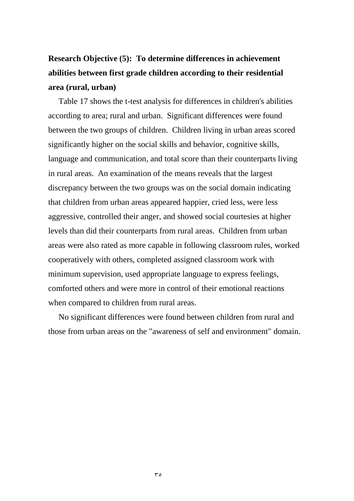# **Research Objective (5): To determine differences in achievement abilities between first grade children according to their residential area (rural, urban)**

 Table 17 shows the t-test analysis for differences in children's abilities according to area; rural and urban. Significant differences were found between the two groups of children. Children living in urban areas scored significantly higher on the social skills and behavior, cognitive skills, language and communication, and total score than their counterparts living in rural areas. An examination of the means reveals that the largest discrepancy between the two groups was on the social domain indicating that children from urban areas appeared happier, cried less, were less aggressive, controlled their anger, and showed social courtesies at higher levels than did their counterparts from rural areas. Children from urban areas were also rated as more capable in following classroom rules, worked cooperatively with others, completed assigned classroom work with minimum supervision, used appropriate language to express feelings, comforted others and were more in control of their emotional reactions when compared to children from rural areas.

 No significant differences were found between children from rural and those from urban areas on the "awareness of self and environment" domain.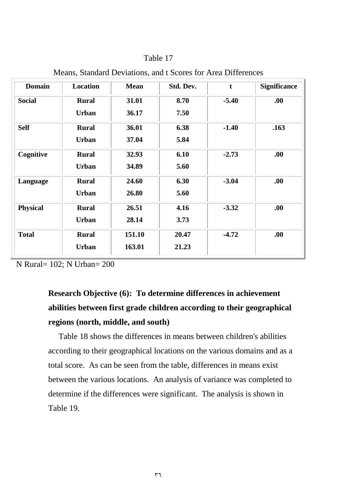| <b>Domain</b>   | <b>Location</b> | <b>Mean</b> | Std. Dev. | $\mathbf t$ | <b>Significance</b> |
|-----------------|-----------------|-------------|-----------|-------------|---------------------|
| <b>Social</b>   | <b>Rural</b>    | 31.01       | 8.70      | $-5.40$     | .00.                |
|                 | <b>Urban</b>    | 36.17       | 7.50      |             |                     |
| <b>Self</b>     | <b>Rural</b>    | 36.01       | 6.38      | $-1.40$     | .163                |
|                 | <b>Urban</b>    | 37.04       | 5.84      |             |                     |
| Cognitive       | <b>Rural</b>    | 32.93       | 6.10      | $-2.73$     | .00.                |
|                 | <b>Urban</b>    | 34.89       | 5.60      |             |                     |
| Language        | <b>Rural</b>    | 24.60       | 6.30      | $-3.04$     | .00.                |
|                 | <b>Urban</b>    | 26.80       | 5.60      |             |                     |
| <b>Physical</b> | <b>Rural</b>    | 26.51       | 4.16      | $-3.32$     | .00.                |
|                 | <b>Urban</b>    | 28.14       | 3.73      |             |                     |
| <b>Total</b>    | <b>Rural</b>    | 151.10      | 20.47     | $-4.72$     | .00.                |
|                 | <b>Urban</b>    | 163.01      | 21.23     |             |                     |

Means, Standard Deviations, and t Scores for Area Differences

N Rural= 102; N Urban= 200

# **Research Objective (6): To determine differences in achievement abilities between first grade children according to their geographical regions (north, middle, and south)**

 Table 18 shows the differences in means between children's abilities according to their geographical locations on the various domains and as a total score. As can be seen from the table, differences in means exist between the various locations. An analysis of variance was completed to determine if the differences were significant. The analysis is shown in Table 19.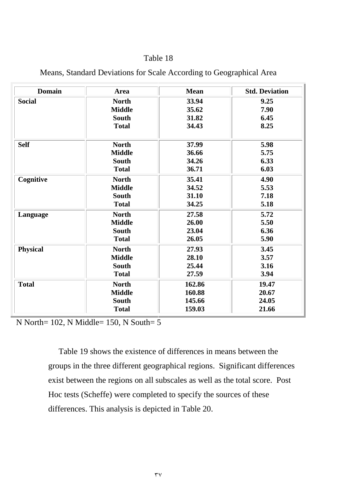| <b>Domain</b>   | Area          | <b>Mean</b> | <b>Std. Deviation</b> |
|-----------------|---------------|-------------|-----------------------|
| <b>Social</b>   | <b>North</b>  | 33.94       | 9.25                  |
|                 | <b>Middle</b> | 35.62       | 7.90                  |
|                 | <b>South</b>  | 31.82       | 6.45                  |
|                 | <b>Total</b>  | 34.43       | 8.25                  |
| <b>Self</b>     | <b>North</b>  | 37.99       | 5.98                  |
|                 | <b>Middle</b> | 36.66       | 5.75                  |
|                 | <b>South</b>  | 34.26       | 6.33                  |
|                 | <b>Total</b>  | 36.71       | 6.03                  |
| Cognitive       | <b>North</b>  | 35.41       | 4.90                  |
|                 | <b>Middle</b> | 34.52       | 5.53                  |
|                 | South         | 31.10       | 7.18                  |
|                 | <b>Total</b>  | 34.25       | 5.18                  |
| Language        | <b>North</b>  | 27.58       | 5.72                  |
|                 | <b>Middle</b> | 26.00       | 5.50                  |
|                 | <b>South</b>  | 23.04       | 6.36                  |
|                 | <b>Total</b>  | 26.05       | 5.90                  |
| <b>Physical</b> | <b>North</b>  | 27.93       | 3.45                  |
|                 | <b>Middle</b> | 28.10       | 3.57                  |
|                 | <b>South</b>  | 25.44       | 3.16                  |
|                 | <b>Total</b>  | 27.59       | 3.94                  |
| <b>Total</b>    | <b>North</b>  | 162.86      | 19.47                 |
|                 | <b>Middle</b> | 160.88      | 20.67                 |
|                 | South         | 145.66      | 24.05                 |
|                 | <b>Total</b>  | 159.03      | 21.66                 |

## Means, Standard Deviations for Scale According to Geographical Area

N North= 102, N Middle= 150, N South= 5

 Table 19 shows the existence of differences in means between the groups in the three different geographical regions. Significant differences exist between the regions on all subscales as well as the total score. Post Hoc tests (Scheffe) were completed to specify the sources of these differences. This analysis is depicted in Table 20.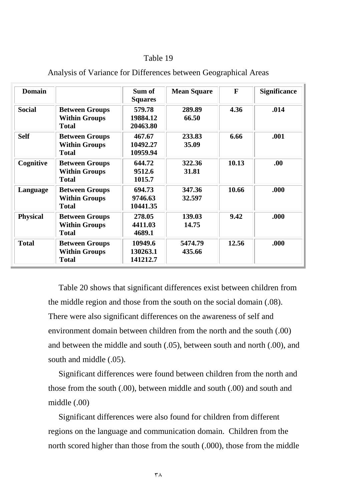| <b>Domain</b>   |                                                               | Sum of<br><b>Squares</b>        | <b>Mean Square</b> | F     | <b>Significance</b> |
|-----------------|---------------------------------------------------------------|---------------------------------|--------------------|-------|---------------------|
| <b>Social</b>   | <b>Between Groups</b><br><b>Within Groups</b><br><b>Total</b> | 579.78<br>19884.12<br>20463.80  | 289.89<br>66.50    | 4.36  | .014                |
| <b>Self</b>     | <b>Between Groups</b><br><b>Within Groups</b><br><b>Total</b> | 467.67<br>10492.27<br>10959.94  | 233.83<br>35.09    | 6.66  | .001                |
| Cognitive       | <b>Between Groups</b><br><b>Within Groups</b><br><b>Total</b> | 644.72<br>9512.6<br>1015.7      | 322.36<br>31.81    | 10.13 | .00.                |
| Language        | <b>Between Groups</b><br><b>Within Groups</b><br><b>Total</b> | 694.73<br>9746.63<br>10441.35   | 347.36<br>32.597   | 10.66 | .000                |
| <b>Physical</b> | <b>Between Groups</b><br><b>Within Groups</b><br><b>Total</b> | 278.05<br>4411.03<br>4689.1     | 139.03<br>14.75    | 9.42  | .000                |
| <b>Total</b>    | <b>Between Groups</b><br><b>Within Groups</b><br><b>Total</b> | 10949.6<br>130263.1<br>141212.7 | 5474.79<br>435.66  | 12.56 | .000                |

### Analysis of Variance for Differences between Geographical Areas

 Table 20 shows that significant differences exist between children from the middle region and those from the south on the social domain (.08). There were also significant differences on the awareness of self and environment domain between children from the north and the south (.00) and between the middle and south (.05), between south and north (.00), and south and middle (.05).

 Significant differences were found between children from the north and those from the south (.00), between middle and south (.00) and south and middle (.00)

 Significant differences were also found for children from different regions on the language and communication domain. Children from the north scored higher than those from the south (.000), those from the middle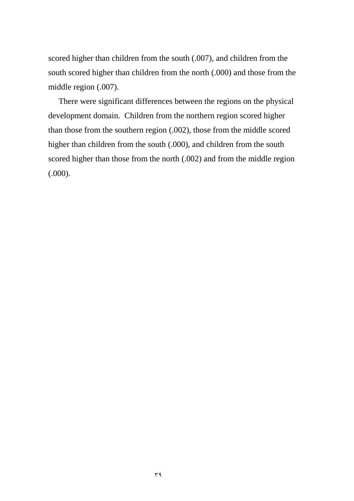scored higher than children from the south (.007), and children from the south scored higher than children from the north (.000) and those from the middle region (.007).

 There were significant differences between the regions on the physical development domain. Children from the northern region scored higher than those from the southern region (.002), those from the middle scored higher than children from the south (.000), and children from the south scored higher than those from the north (.002) and from the middle region (.000).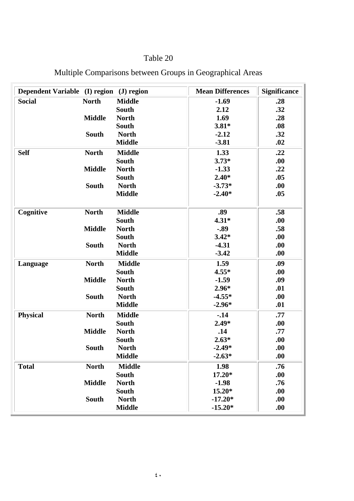| Dependent Variable (I) region (J) region |               |               | <b>Mean Differences</b> | <b>Significance</b> |
|------------------------------------------|---------------|---------------|-------------------------|---------------------|
| <b>Social</b>                            | <b>North</b>  | <b>Middle</b> | $-1.69$                 | .28                 |
|                                          |               | <b>South</b>  | 2.12                    | .32                 |
|                                          | <b>Middle</b> | <b>North</b>  | 1.69                    | .28                 |
|                                          |               | <b>South</b>  | $3.81*$                 | .08                 |
|                                          | South         | <b>North</b>  | $-2.12$                 | .32                 |
|                                          |               | <b>Middle</b> | $-3.81$                 | .02                 |
| <b>Self</b>                              | <b>North</b>  | <b>Middle</b> | 1.33                    | .22                 |
|                                          |               | <b>South</b>  | $3.73*$                 | .00                 |
|                                          | <b>Middle</b> | <b>North</b>  | $-1.33$                 | .22                 |
|                                          |               | <b>South</b>  | $2.40*$                 | .05                 |
|                                          | <b>South</b>  | <b>North</b>  | $-3.73*$                | .00                 |
|                                          |               | <b>Middle</b> | $-2.40*$                | .05                 |
| Cognitive                                | <b>North</b>  | <b>Middle</b> | .89                     | .58                 |
|                                          |               | South         | $4.31*$                 | .00.                |
|                                          | <b>Middle</b> | <b>North</b>  | $-.89$                  | .58                 |
|                                          |               | <b>South</b>  | $3.42*$                 | .00                 |
|                                          | <b>South</b>  | <b>North</b>  | $-4.31$                 | .00                 |
|                                          |               | <b>Middle</b> | $-3.42$                 | .00                 |
| Language                                 | <b>North</b>  | <b>Middle</b> | 1.59                    | .09                 |
|                                          |               | South         | $4.55*$                 | .00                 |
|                                          | <b>Middle</b> | <b>North</b>  | $-1.59$                 | .09                 |
|                                          |               | South         | $2.96*$                 | .01                 |
|                                          | <b>South</b>  | <b>North</b>  | $-4.55*$                | .00                 |
|                                          |               | <b>Middle</b> | $-2.96*$                | .01                 |
| <b>Physical</b>                          | <b>North</b>  | <b>Middle</b> | $-14$                   | .77                 |
|                                          |               | <b>South</b>  | $2.49*$                 | .00                 |
|                                          | <b>Middle</b> | <b>North</b>  | .14                     | .77                 |
|                                          |               | South         | $2.63*$                 | .00                 |
|                                          | <b>South</b>  | <b>North</b>  | $-2.49*$                | .00                 |
|                                          |               | <b>Middle</b> | $-2.63*$                | .00                 |
| <b>Total</b>                             | <b>North</b>  | <b>Middle</b> | 1.98                    | .76                 |
|                                          |               | <b>South</b>  | $17.20*$                | .00.                |
|                                          | <b>Middle</b> | <b>North</b>  | $-1.98$                 | .76                 |
|                                          |               | <b>South</b>  | 15.20*                  | .00.                |
|                                          | <b>South</b>  | <b>North</b>  | $-17.20*$               | .00                 |
|                                          |               | <b>Middle</b> | $-15.20*$               | .00                 |

# Multiple Comparisons between Groups in Geographical Areas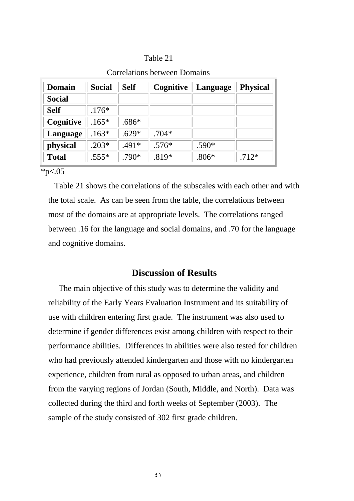| <b>Domain</b> | <b>Social</b> | <b>Self</b> | Cognitive | Language | <b>Physical</b> |
|---------------|---------------|-------------|-----------|----------|-----------------|
| <b>Social</b> |               |             |           |          |                 |
| <b>Self</b>   | $.176*$       |             |           |          |                 |
| Cognitive     | $.165*$       | $.686*$     |           |          |                 |
| Language      | $.163*$       | $.629*$     | $.704*$   |          |                 |
| physical      | $.203*$       | $.491*$     | $.576*$   | $.590*$  |                 |
| <b>Total</b>  | $.555*$       | .790*       | .819*     | $.806*$  | $.712*$         |

### Correlations between Domains

 $*p<.05$ 

 Table 21 shows the correlations of the subscales with each other and with the total scale. As can be seen from the table, the correlations between most of the domains are at appropriate levels. The correlations ranged between .16 for the language and social domains, and .70 for the language and cognitive domains.

## **Discussion of Results**

 The main objective of this study was to determine the validity and reliability of the Early Years Evaluation Instrument and its suitability of use with children entering first grade. The instrument was also used to determine if gender differences exist among children with respect to their performance abilities. Differences in abilities were also tested for children who had previously attended kindergarten and those with no kindergarten experience, children from rural as opposed to urban areas, and children from the varying regions of Jordan (South, Middle, and North). Data was collected during the third and forth weeks of September (2003). The sample of the study consisted of 302 first grade children.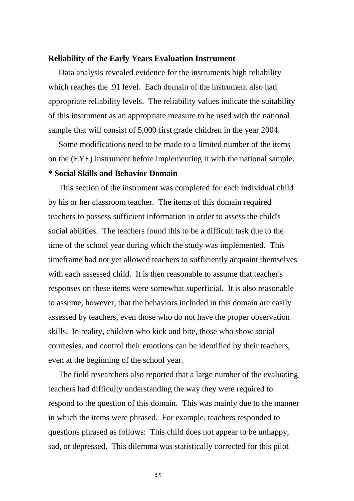### **Reliability of the Early Years Evaluation Instrument**

 Data analysis revealed evidence for the instruments high reliability which reaches the .91 level. Each domain of the instrument also had appropriate reliability levels. The reliability values indicate the suitability of this instrument as an appropriate measure to be used with the national sample that will consist of 5,000 first grade children in the year 2004.

 Some modifications need to be made to a limited number of the items on the (EYE) instrument before implementing it with the national sample.

### **\* Social Skills and Behavior Domain**

 This section of the instrument was completed for each individual child by his or her classroom teacher. The items of this domain required teachers to possess sufficient information in order to assess the child's social abilities. The teachers found this to be a difficult task due to the time of the school year during which the study was implemented. This timeframe had not yet allowed teachers to sufficiently acquaint themselves with each assessed child. It is then reasonable to assume that teacher's responses on these items were somewhat superficial. It is also reasonable to assume, however, that the behaviors included in this domain are easily assessed by teachers, even those who do not have the proper observation skills. In reality, children who kick and bite, those who show social courtesies, and control their emotions can be identified by their teachers, even at the beginning of the school year.

 The field researchers also reported that a large number of the evaluating teachers had difficulty understanding the way they were required to respond to the question of this domain. This was mainly due to the manner in which the items were phrased. For example, teachers responded to questions phrased as follows: This child does not appear to be unhappy, sad, or depressed. This dilemma was statistically corrected for this pilot

 $55$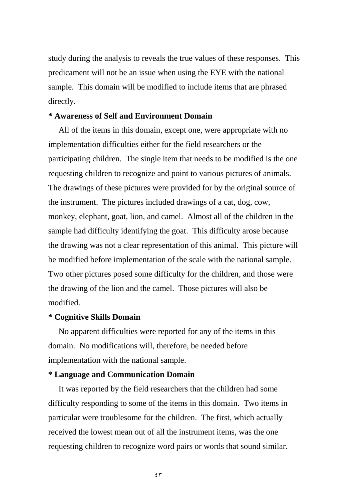study during the analysis to reveals the true values of these responses. This predicament will not be an issue when using the EYE with the national sample. This domain will be modified to include items that are phrased directly.

### **\* Awareness of Self and Environment Domain**

 All of the items in this domain, except one, were appropriate with no implementation difficulties either for the field researchers or the participating children. The single item that needs to be modified is the one requesting children to recognize and point to various pictures of animals. The drawings of these pictures were provided for by the original source of the instrument. The pictures included drawings of a cat, dog, cow, monkey, elephant, goat, lion, and camel. Almost all of the children in the sample had difficulty identifying the goat. This difficulty arose because the drawing was not a clear representation of this animal. This picture will be modified before implementation of the scale with the national sample. Two other pictures posed some difficulty for the children, and those were the drawing of the lion and the camel. Those pictures will also be modified.

### **\* Cognitive Skills Domain**

 No apparent difficulties were reported for any of the items in this domain. No modifications will, therefore, be needed before implementation with the national sample.

### **\* Language and Communication Domain**

 It was reported by the field researchers that the children had some difficulty responding to some of the items in this domain. Two items in particular were troublesome for the children. The first, which actually received the lowest mean out of all the instrument items, was the one requesting children to recognize word pairs or words that sound similar.

 $55$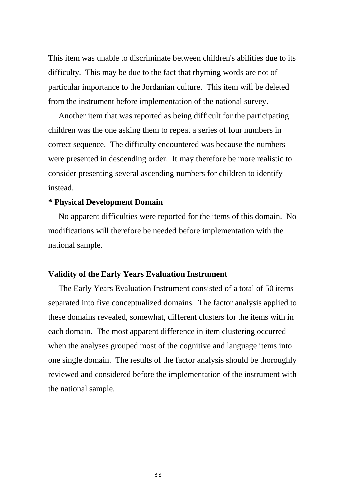This item was unable to discriminate between children's abilities due to its difficulty. This may be due to the fact that rhyming words are not of particular importance to the Jordanian culture. This item will be deleted from the instrument before implementation of the national survey.

 Another item that was reported as being difficult for the participating children was the one asking them to repeat a series of four numbers in correct sequence. The difficulty encountered was because the numbers were presented in descending order. It may therefore be more realistic to consider presenting several ascending numbers for children to identify instead.

### **\* Physical Development Domain**

 No apparent difficulties were reported for the items of this domain. No modifications will therefore be needed before implementation with the national sample.

### **Validity of the Early Years Evaluation Instrument**

 The Early Years Evaluation Instrument consisted of a total of 50 items separated into five conceptualized domains. The factor analysis applied to these domains revealed, somewhat, different clusters for the items with in each domain. The most apparent difference in item clustering occurred when the analyses grouped most of the cognitive and language items into one single domain. The results of the factor analysis should be thoroughly reviewed and considered before the implementation of the instrument with the national sample.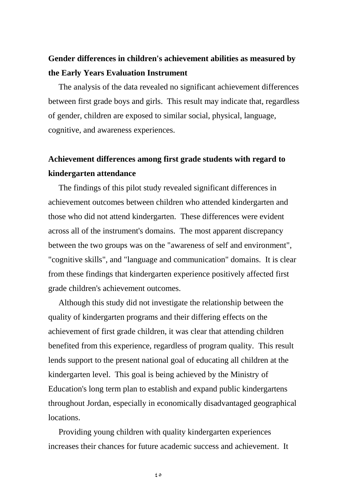## **Gender differences in children's achievement abilities as measured by the Early Years Evaluation Instrument**

 The analysis of the data revealed no significant achievement differences between first grade boys and girls. This result may indicate that, regardless of gender, children are exposed to similar social, physical, language, cognitive, and awareness experiences.

# **Achievement differences among first grade students with regard to kindergarten attendance**

 The findings of this pilot study revealed significant differences in achievement outcomes between children who attended kindergarten and those who did not attend kindergarten. These differences were evident across all of the instrument's domains. The most apparent discrepancy between the two groups was on the "awareness of self and environment", "cognitive skills", and "language and communication" domains. It is clear from these findings that kindergarten experience positively affected first grade children's achievement outcomes.

 Although this study did not investigate the relationship between the quality of kindergarten programs and their differing effects on the achievement of first grade children, it was clear that attending children benefited from this experience, regardless of program quality. This result lends support to the present national goal of educating all children at the kindergarten level. This goal is being achieved by the Ministry of Education's long term plan to establish and expand public kindergartens throughout Jordan, especially in economically disadvantaged geographical locations.

 Providing young children with quality kindergarten experiences increases their chances for future academic success and achievement. It

 $65$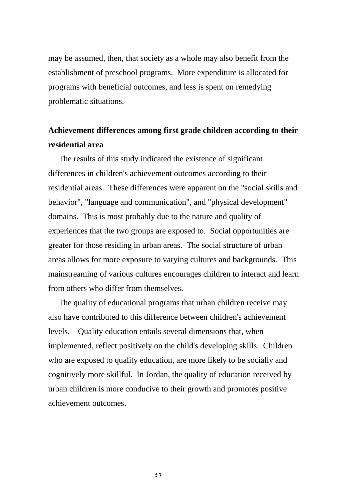may be assumed, then, that society as a whole may also benefit from the establishment of preschool programs. More expenditure is allocated for programs with beneficial outcomes, and less is spent on remedying problematic situations.

# **Achievement differences among first grade children according to their residential area**

 The results of this study indicated the existence of significant differences in children's achievement outcomes according to their residential areas. These differences were apparent on the "social skills and behavior", "language and communication", and "physical development" domains. This is most probably due to the nature and quality of experiences that the two groups are exposed to. Social opportunities are greater for those residing in urban areas. The social structure of urban areas allows for more exposure to varying cultures and backgrounds. This mainstreaming of various cultures encourages children to interact and learn from others who differ from themselves.

 The quality of educational programs that urban children receive may also have contributed to this difference between children's achievement levels. Quality education entails several dimensions that, when implemented, reflect positively on the child's developing skills. Children who are exposed to quality education, are more likely to be socially and cognitively more skillful. In Jordan, the quality of education received by urban children is more conducive to their growth and promotes positive achievement outcomes.

 $57$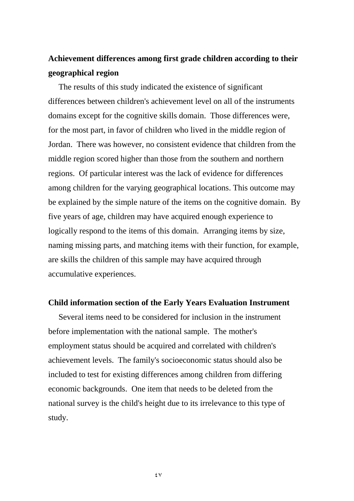# **Achievement differences among first grade children according to their geographical region**

 The results of this study indicated the existence of significant differences between children's achievement level on all of the instruments domains except for the cognitive skills domain. Those differences were, for the most part, in favor of children who lived in the middle region of Jordan. There was however, no consistent evidence that children from the middle region scored higher than those from the southern and northern regions. Of particular interest was the lack of evidence for differences among children for the varying geographical locations. This outcome may be explained by the simple nature of the items on the cognitive domain. By five years of age, children may have acquired enough experience to logically respond to the items of this domain. Arranging items by size, naming missing parts, and matching items with their function, for example, are skills the children of this sample may have acquired through accumulative experiences.

### **Child information section of the Early Years Evaluation Instrument**

 Several items need to be considered for inclusion in the instrument before implementation with the national sample. The mother's employment status should be acquired and correlated with children's achievement levels. The family's socioeconomic status should also be included to test for existing differences among children from differing economic backgrounds. One item that needs to be deleted from the national survey is the child's height due to its irrelevance to this type of study.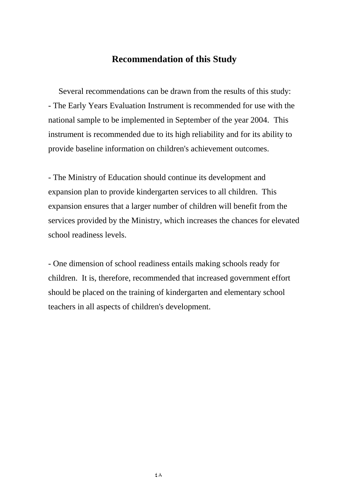## **Recommendation of this Study**

 Several recommendations can be drawn from the results of this study: - The Early Years Evaluation Instrument is recommended for use with the national sample to be implemented in September of the year 2004. This instrument is recommended due to its high reliability and for its ability to provide baseline information on children's achievement outcomes.

- The Ministry of Education should continue its development and expansion plan to provide kindergarten services to all children. This expansion ensures that a larger number of children will benefit from the services provided by the Ministry, which increases the chances for elevated school readiness levels.

- One dimension of school readiness entails making schools ready for children. It is, therefore, recommended that increased government effort should be placed on the training of kindergarten and elementary school teachers in all aspects of children's development.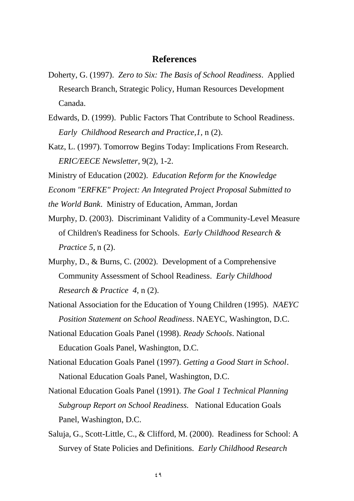### **References**

- Doherty, G. (1997). *Zero to Six: The Basis of School Readiness*. Applied Research Branch, Strategic Policy, Human Resources Development Canada.
- Edwards, D. (1999). Public Factors That Contribute to School Readiness. *Early Childhood Research and Practice,1,* n (2).
- Katz, L. (1997). Tomorrow Begins Today: Implications From Research. *ERIC/EECE Newsletter*, 9(2), 1-2.
- Ministry of Education (2002). *Education Reform for the Knowledge*
- *Econom "ERFKE" Project: An Integrated Project Proposal Submitted to*
- *the World Bank*. Ministry of Education, Amman, Jordan
- Murphy, D. (2003). Discriminant Validity of a Community-Level Measure of Children's Readiness for Schools. *Early Childhood Research & Practice 5*, n (2).
- Murphy, D., & Burns, C. (2002). Development of a Comprehensive Community Assessment of School Readiness. *Early Childhood Research & Practice 4*, n (2).
- National Association for the Education of Young Children (1995). *NAEYC Position Statement on School Readiness*. NAEYC, Washington, D.C.
- National Education Goals Panel (1998). *Ready Schools*. National Education Goals Panel, Washington, D.C.
- National Education Goals Panel (1997). *Getting a Good Start in School*. National Education Goals Panel, Washington, D.C.
- National Education Goals Panel (1991). *The Goal 1 Technical Planning Subgroup Report on School Readiness.* National Education Goals Panel, Washington, D.C.
- Saluja, G., Scott-Little, C., & Clifford, M. (2000). Readiness for School: A Survey of State Policies and Definitions. *Early Childhood Research*